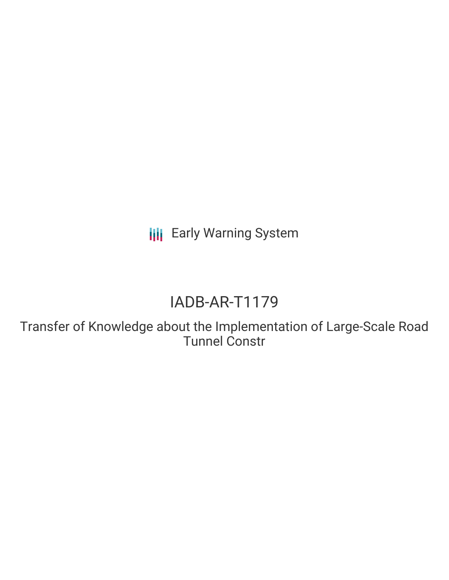**III** Early Warning System

# IADB-AR-T1179

Transfer of Knowledge about the Implementation of Large-Scale Road Tunnel Constr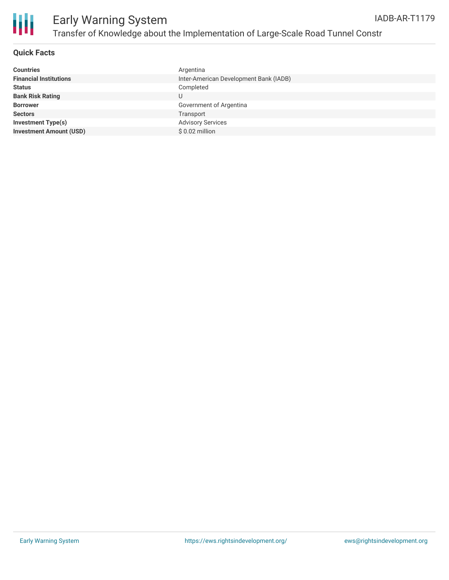



### **Quick Facts**

| Argentina                              |
|----------------------------------------|
| Inter-American Development Bank (IADB) |
| Completed                              |
| U                                      |
| Government of Argentina                |
| Transport                              |
| <b>Advisory Services</b>               |
| $$0.02$ million                        |
|                                        |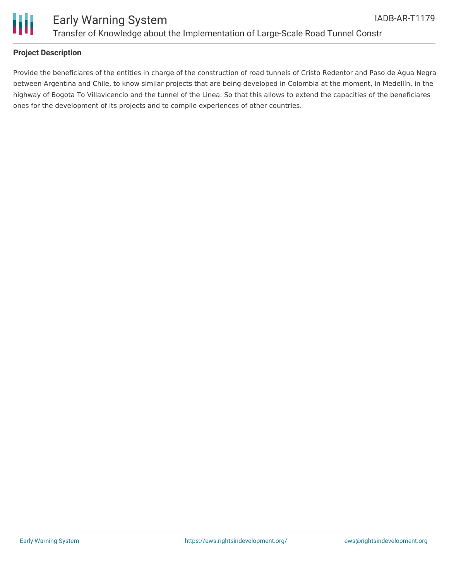

### **Project Description**

Provide the beneficiares of the entities in charge of the construction of road tunnels of Cristo Redentor and Paso de Agua Negra between Argentina and Chile, to know similar projects that are being developed in Colombia at the moment, in Medellín, in the highway of Bogota To Villavicencio and the tunnel of the Linea. So that this allows to extend the capacities of the beneficiares ones for the development of its projects and to compile experiences of other countries.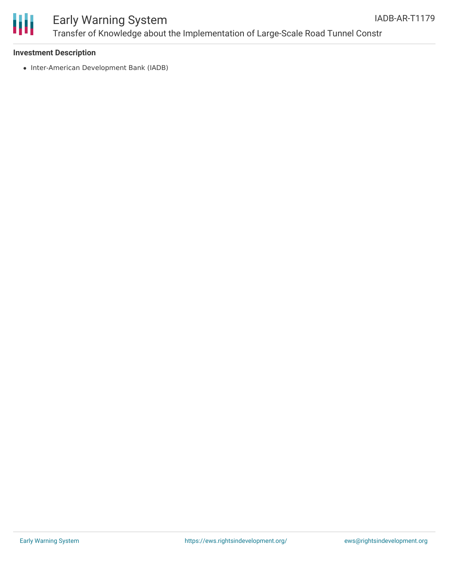

## Early Warning System Transfer of Knowledge about the Implementation of Large-Scale Road Tunnel Constr

### **Investment Description**

• Inter-American Development Bank (IADB)